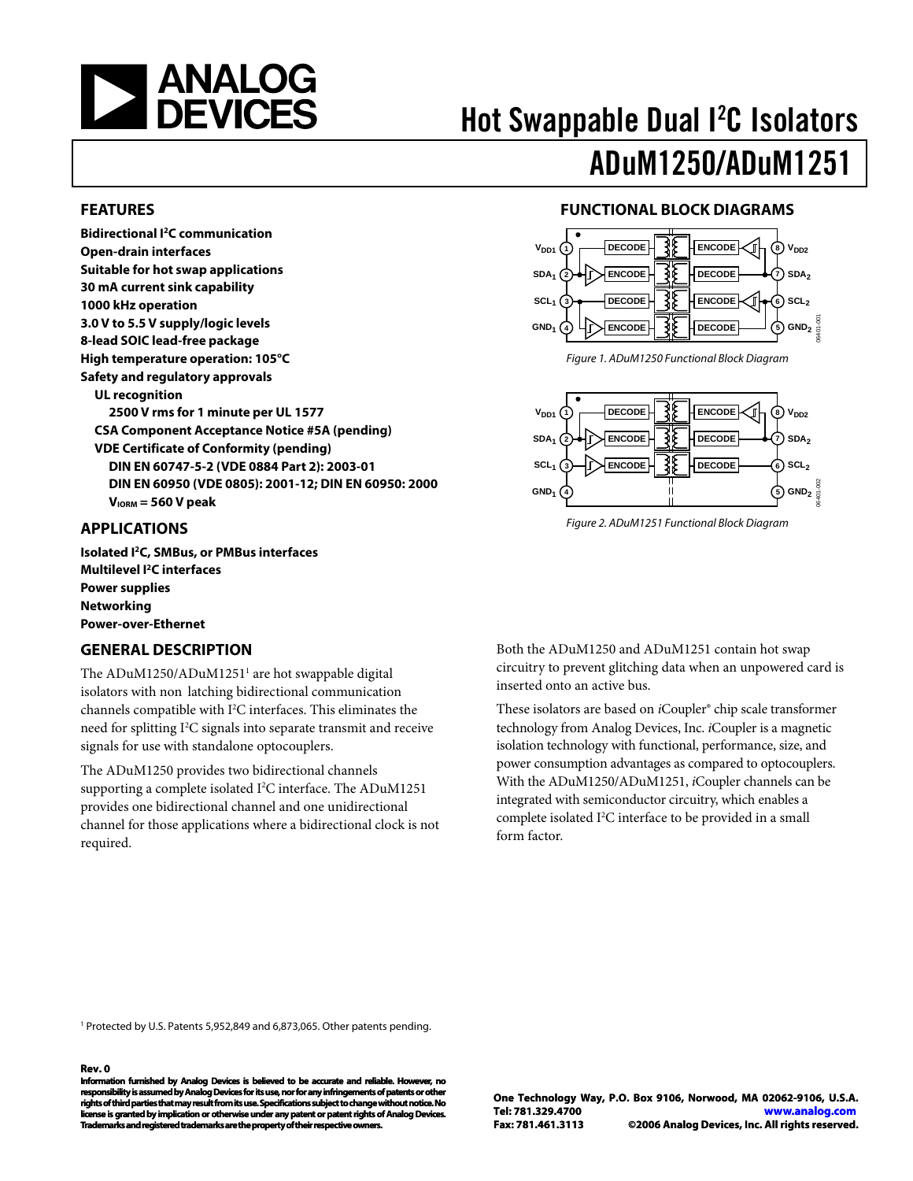<span id="page-0-0"></span>

# Hot Swappable Dual I<sup>2</sup>C Isolators ADuM1250/ADuM1251

#### **FEATURES**

**Bidirectional I2C communication Open-drain interfaces Suitable for hot swap applications 30 mA current sink capability 1000 kHz operation 3.0 V to 5.5 V supply/logic levels 8-lead SOIC lead-free package High temperature operation: 105°C Safety and regulatory approvals UL recognition 2500 V rms for 1 minute per UL 1577 CSA Component Acceptance Notice #5A (pending) VDE Certificate of Conformity (pending) DIN EN 60747-5-2 (VDE 0884 Part 2): 2003-01 DIN EN 60950 (VDE 0805): 2001-12; DIN EN 60950: 2000 VIORM = 560 V peak** 

### **APPLICATIONS**

**Isolated I2C, SMBus, or PMBus interfaces Multilevel I2C interfaces Power supplies Networking Power-over-Ethernet** 

### **GENERAL DESCRIPTION**

The ADuM1250/ADuM1251<sup>1</sup> are hot swappable digital isolators with non latching bidirectional communication channels compatible with I<sup>2</sup>C interfaces. This eliminates the need for splitting I<sup>2</sup>C signals into separate transmit and receive signals for use with standalone optocouplers.

The ADuM1250 provides two bidirectional channels supporting a complete isolated I<sup>2</sup>C interface. The ADuM1251 provides one bidirectional channel and one unidirectional channel for those applications where a bidirectional clock is not required.

### **FUNCTIONAL BLOCK DIAGRAMS**



Figure 1. ADuM1250 Functional Block Diagram



Figure 2. ADuM1251 Functional Block Diagram

Both the ADuM1250 and ADuM1251 contain hot swap circuitry to prevent glitching data when an unpowered card is inserted onto an active bus.

These isolators are based on *i*Coupler® chip scale transformer technology from Analog Devices, Inc. *i*Coupler is a magnetic isolation technology with functional, performance, size, and power consumption advantages as compared to optocouplers. With the ADuM1250/ADuM1251, *i*Coupler channels can be integrated with semiconductor circuitry, which enables a complete isolated I<sup>2</sup>C interface to be provided in a small form factor.

<sup>1</sup> Protected by U.S. Patents 5,952,849 and 6,873,065. Other patents pending.

#### **Rev. 0**

Information furnished by Analog Devices is believed to be accurate and reliable. Ho **responsibility is assumed by Analog Devices for its use, nor for any infringements of patents or other rights of third parties that may result from its use. Specifications subject to change without notice. No license is granted by implication or otherwise under any patent or patent rights of Analog Devices. Trademarks and registered trademarks are the property of their respective owners. owners.**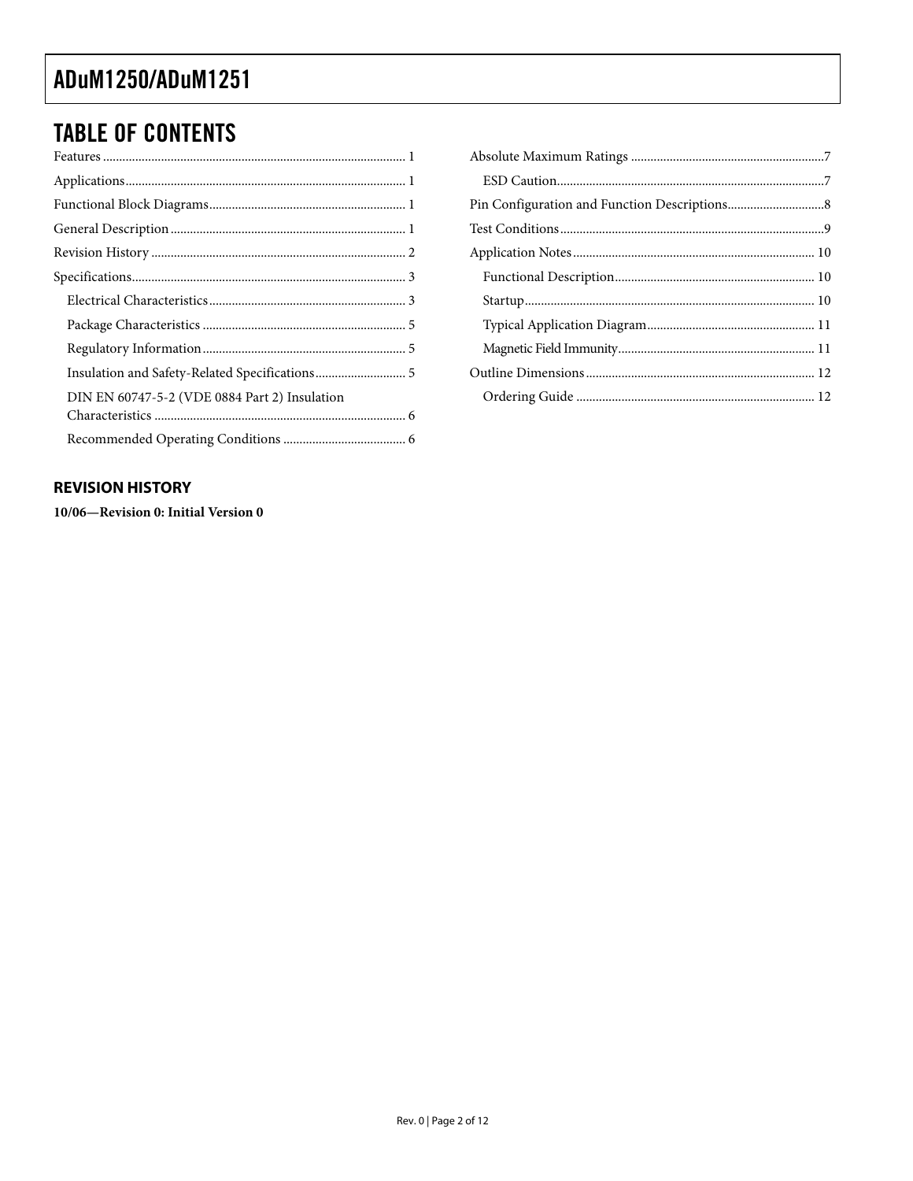## <span id="page-1-0"></span>**TABLE OF CONTENTS**

| Insulation and Safety-Related Specifications 5 |  |
|------------------------------------------------|--|
| DIN EN 60747-5-2 (VDE 0884 Part 2) Insulation  |  |
|                                                |  |
|                                                |  |

### **REVISION HISTORY**

10/06-Revision 0: Initial Version 0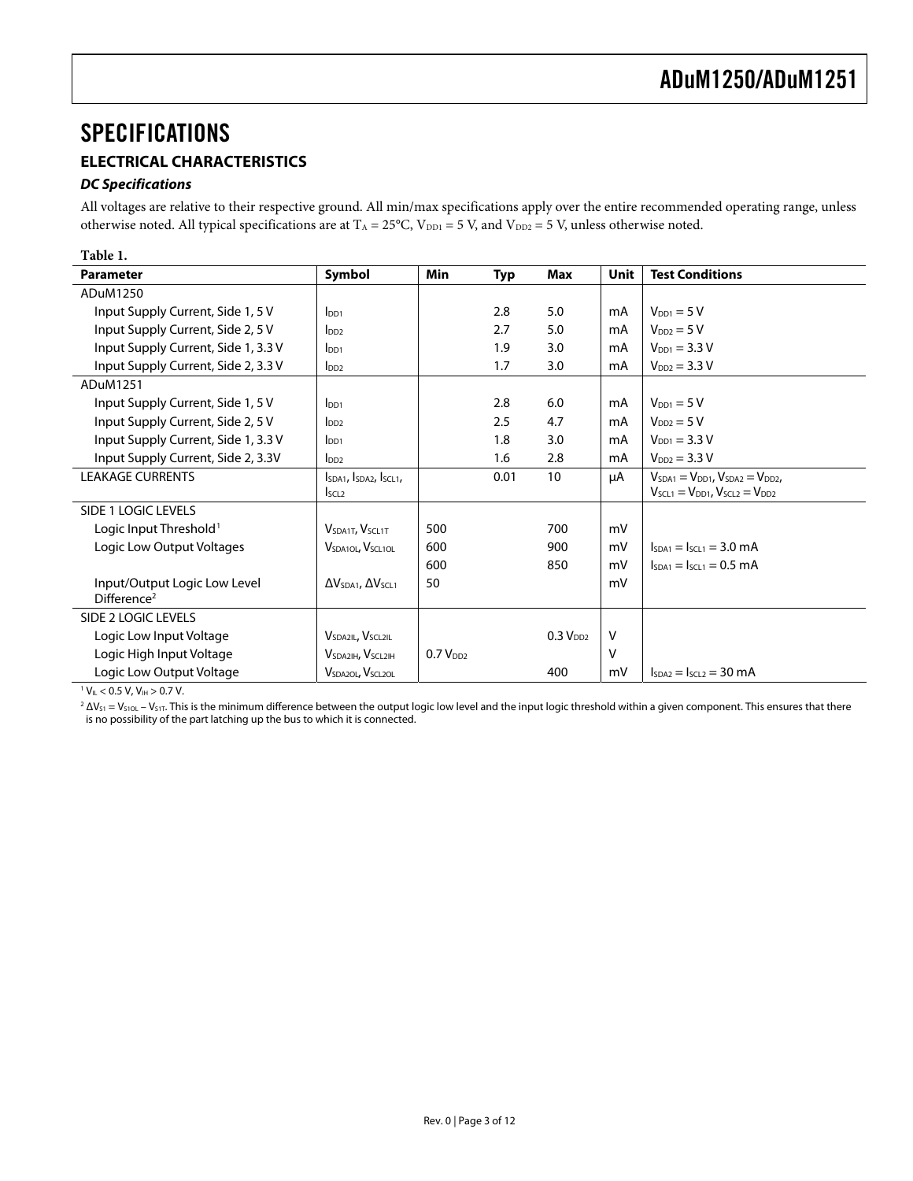### <span id="page-2-0"></span>**SPECIFICATIONS**

### **ELECTRICAL CHARACTERISTICS**

#### **DC Specifications**

All voltages are relative to their respective ground. All min/max specifications apply over the entire recommended operating range, unless otherwise noted. All typical specifications are at T<sub>A</sub> = 25°C, V<sub>DD1</sub> = 5 V, and V<sub>DD2</sub> = 5 V, unless otherwise noted.

| <b>Parameter</b>                                        | Symbol                                    | <b>Min</b>           | <b>Typ</b> | Max                  | <b>Unit</b> | <b>Test Conditions</b>                      |
|---------------------------------------------------------|-------------------------------------------|----------------------|------------|----------------------|-------------|---------------------------------------------|
| ADuM1250                                                |                                           |                      |            |                      |             |                                             |
| Input Supply Current, Side 1, 5 V                       | In <sub>01</sub>                          |                      | 2.8        | 5.0                  | mA          | $V_{DD1} = 5 V$                             |
| Input Supply Current, Side 2, 5 V                       | Inp2                                      |                      | 2.7        | 5.0                  | mA          | $VDD2 = 5 V$                                |
| Input Supply Current, Side 1, 3.3 V                     | I <sub>DD1</sub>                          |                      | 1.9        | 3.0                  | mA          | $V_{DD1} = 3.3 V$                           |
| Input Supply Current, Side 2, 3.3 V                     | $I_{DD2}$                                 |                      | 1.7        | 3.0                  | mA          | $V_{DD2} = 3.3 V$                           |
| ADuM1251                                                |                                           |                      |            |                      |             |                                             |
| Input Supply Current, Side 1, 5 V                       | $I_{DD1}$                                 |                      | 2.8        | 6.0                  | mA          | $V_{DD1} = 5 V$                             |
| Input Supply Current, Side 2, 5 V                       | In2                                       |                      | 2.5        | 4.7                  | mA          | $VDD2 = 5 V$                                |
| Input Supply Current, Side 1, 3.3 V                     | $I_{DD1}$                                 |                      | 1.8        | 3.0                  | mA          | $V_{DD1} = 3.3 V$                           |
| Input Supply Current, Side 2, 3.3V                      | $I_{DD2}$                                 |                      | 1.6        | 2.8                  | mA          | $V_{DD2} = 3.3 V$                           |
| <b>LEAKAGE CURRENTS</b>                                 | ISDA1, ISDA2, ISCL1,                      |                      | 0.01       | 10                   | μA          | $VSDA1 = VDD1$ , $VSDA2 = VDD2$ ,           |
|                                                         | I <sub>SCL2</sub>                         |                      |            |                      |             | $V_{SCL1} = V_{DD1}$ , $V_{SCL2} = V_{DD2}$ |
| SIDE 1 LOGIC LEVELS                                     |                                           |                      |            |                      |             |                                             |
| Logic Input Threshold <sup>1</sup>                      | <b>VSDA1T, VSCL1T</b>                     | 500                  |            | 700                  | mV          |                                             |
| Logic Low Output Voltages                               | $V_{SDA1OL}$ , $V_{SCL1OL}$               | 600                  |            | 900                  | mV          | $I_{SDA1} = I_{SCL1} = 3.0$ mA              |
|                                                         |                                           | 600                  |            | 850                  | mV          | $Is_{DA1} = Is_{CL1} = 0.5$ mA              |
| Input/Output Logic Low Level<br>Difference <sup>2</sup> | $\Delta V_{SDA1}$ , $\Delta V_{SCL1}$     | 50                   |            |                      | mV          |                                             |
| SIDE 2 LOGIC LEVELS                                     |                                           |                      |            |                      |             |                                             |
| Logic Low Input Voltage                                 | <b>VSDA2IL, VSCL2IL</b>                   |                      |            | 0.3 V <sub>DD2</sub> | v           |                                             |
| Logic High Input Voltage                                | V <sub>SDA2</sub> IH, V <sub>SCL2IH</sub> | 0.7 V <sub>DD2</sub> |            |                      | v           |                                             |
| Logic Low Output Voltage                                | <b>VSDA2OL, VSCL2OL</b>                   |                      |            | 400                  | mV          | $ _{SDA2} =  _{SCL2} = 30$ mA               |

 $1 V_{IL}$  < 0.5 V, V<sub>IH</sub> > 0.7 V.

<span id="page-2-1"></span> $^2$   $\Delta$ Vs1 = Vs10L – Vs1T. This is the minimum difference between the output logic low level and the input logic threshold within a given component. This ensures that there is no possibility of the part latching up the bus to which it is connected.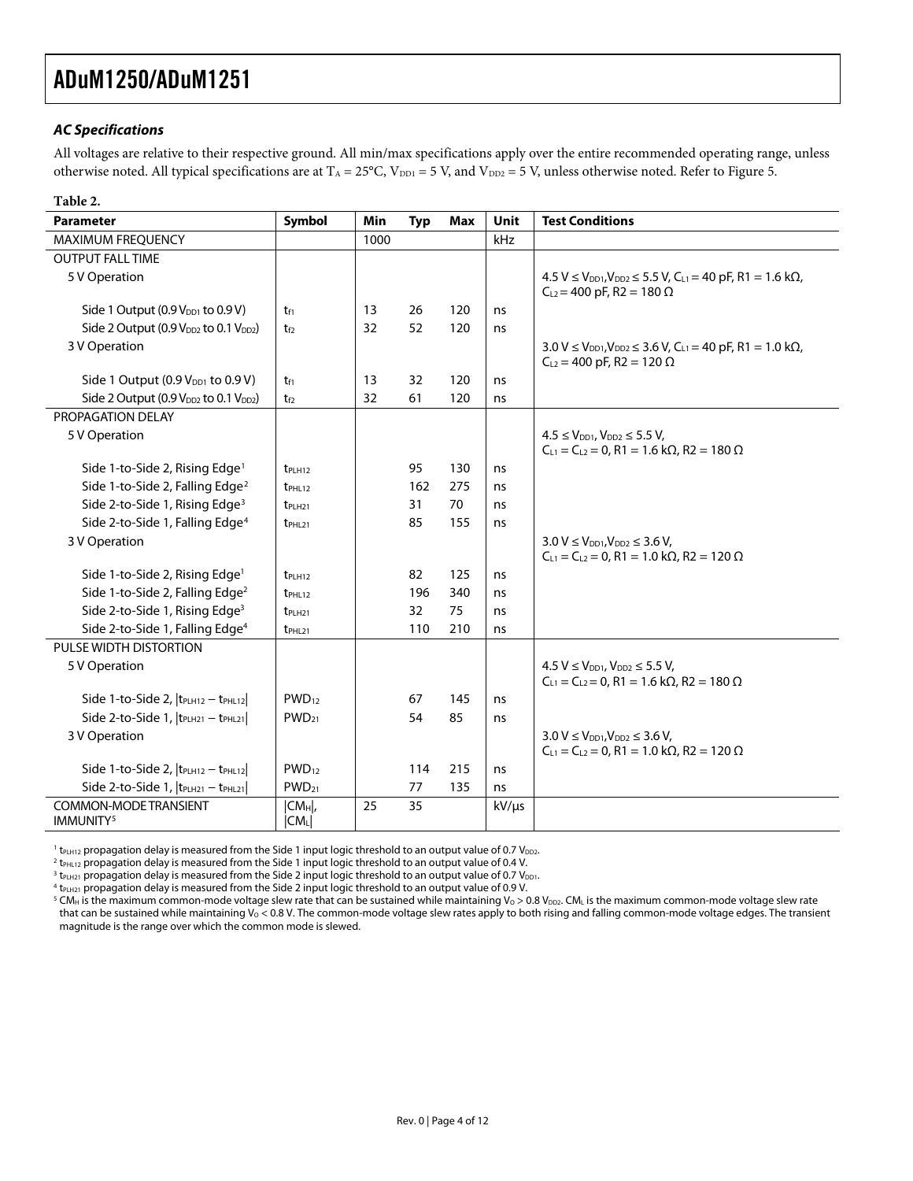### **AC Specifications**

All voltages are relative to their respective ground. All min/max specifications apply over the entire recommended operating range, unless otherwise noted. All typical specifications are at  $T_A = 25^{\circ}$ C, V<sub>DD1</sub> = 5 V, and V<sub>DD2</sub> = 5 V, unless otherwise noted. Refer to [Figure 5](#page-8-1).

<span id="page-3-1"></span><span id="page-3-0"></span>

| Table 2.                                                      |                       |            |            |            |             |                                                                                                                                                                             |
|---------------------------------------------------------------|-----------------------|------------|------------|------------|-------------|-----------------------------------------------------------------------------------------------------------------------------------------------------------------------------|
| <b>Parameter</b>                                              | Symbol                | <b>Min</b> | <b>Typ</b> | <b>Max</b> | <b>Unit</b> | <b>Test Conditions</b>                                                                                                                                                      |
| <b>MAXIMUM FREQUENCY</b>                                      |                       | 1000       |            |            | kHz         |                                                                                                                                                                             |
| <b>OUTPUT FALL TIME</b>                                       |                       |            |            |            |             |                                                                                                                                                                             |
| 5 V Operation                                                 |                       |            |            |            |             | $4.5 V \le V_{DD1}$ , $V_{DD2} \le 5.5 V$ , $C_{L1} = 40 pF$ , R1 = 1.6 k $\Omega$ ,<br>$C_{L2}$ = 400 pF, R2 = 180 $\Omega$                                                |
| Side 1 Output $(0.9 VDD1$ to $0.9 V)$                         | t <sub>f1</sub>       | 13         | 26         | 120        | ns          |                                                                                                                                                                             |
| Side 2 Output (0.9 $V_{DD2}$ to 0.1 $V_{DD2}$ )               | te                    | 32         | 52         | 120        | ns          |                                                                                                                                                                             |
| 3 V Operation                                                 |                       |            |            |            |             | $3.0 \text{ V} \leq V_{\text{DD1}}$ , $V_{\text{DD2}} \leq 3.6 \text{ V}$ , $C_{\text{L1}} = 40 \text{ pF}$ , R1 = 1.0 k $\Omega$ ,<br>$C_{L2} = 400$ pF, R2 = 120 $\Omega$ |
| Side 1 Output $(0.9 VDD1$ to $0.9 V)$                         | t <sub>f1</sub>       | 13         | 32         | 120        | ns          |                                                                                                                                                                             |
| Side 2 Output (0.9 V <sub>DD2</sub> to 0.1 V <sub>DD2</sub> ) | $t_{f2}$              | 32         | 61         | 120        | ns          |                                                                                                                                                                             |
| PROPAGATION DELAY                                             |                       |            |            |            |             |                                                                                                                                                                             |
| 5 V Operation                                                 |                       |            |            |            |             | $4.5 \le V_{\text{DD1}}$ , $V_{\text{DD2}} \le 5.5$ V,<br>$C_{L1} = C_{L2} = 0$ , R1 = 1.6 k $\Omega$ , R2 = 180 $\Omega$                                                   |
| Side 1-to-Side 2, Rising Edge <sup>1</sup>                    | t <sub>PLH12</sub>    |            | 95         | 130        | ns          |                                                                                                                                                                             |
| Side 1-to-Side 2, Falling Edge <sup>2</sup>                   | $t_{PHL12}$           |            | 162        | 275        | ns          |                                                                                                                                                                             |
| Side 2-to-Side 1, Rising Edge <sup>3</sup>                    | $t$ PLH <sub>21</sub> |            | 31         | 70         | ns          |                                                                                                                                                                             |
| Side 2-to-Side 1, Falling Edge <sup>4</sup>                   | $t_{PHL21}$           |            | 85         | 155        | ns          |                                                                                                                                                                             |
| 3 V Operation                                                 |                       |            |            |            |             | $3.0 V \le V_{DD1}, V_{DD2} \le 3.6 V$ ,<br>$C_{L1} = C_{L2} = 0$ , R1 = 1.0 k $\Omega$ , R2 = 120 $\Omega$                                                                 |
| Side 1-to-Side 2, Rising Edge <sup>1</sup>                    | $t$ PLH <sub>12</sub> |            | 82         | 125        | ns          |                                                                                                                                                                             |
| Side 1-to-Side 2, Falling Edge <sup>2</sup>                   | t <sub>PHL12</sub>    |            | 196        | 340        | ns          |                                                                                                                                                                             |
| Side 2-to-Side 1, Rising Edge <sup>3</sup>                    | $t$ PLH <sub>21</sub> |            | 32         | 75         | ns          |                                                                                                                                                                             |
| Side 2-to-Side 1, Falling Edge <sup>4</sup>                   | $t$ PHL <sub>21</sub> |            | 110        | 210        | ns          |                                                                                                                                                                             |
| PULSE WIDTH DISTORTION                                        |                       |            |            |            |             |                                                                                                                                                                             |
| 5 V Operation                                                 |                       |            |            |            |             | $4.5 V \le V_{DD1}$ , $V_{DD2} \le 5.5 V$ ,<br>$C_{L1} = C_{L2} = 0$ , R1 = 1.6 k $\Omega$ , R2 = 180 $\Omega$                                                              |
| Side 1-to-Side 2,  t <sub>PLH12</sub> - t <sub>PHL12</sub>    | $PWD_{12}$            |            | 67         | 145        | ns          |                                                                                                                                                                             |
| Side 2-to-Side 1,  t <sub>PLH21</sub> - t <sub>PHL21</sub>    | $PWD_{21}$            |            | 54         | 85         | ns          |                                                                                                                                                                             |
| 3 V Operation                                                 |                       |            |            |            |             | $3.0 V \le V_{DD1}, V_{DD2} \le 3.6 V$ ,<br>$C_{L1} = C_{L2} = 0$ , R1 = 1.0 k $\Omega$ , R2 = 120 $\Omega$                                                                 |
| Side 1-to-Side 2, $ t_{PLH12} - t_{PHL12} $                   | $PWD_{12}$            |            | 114        | 215        | ns          |                                                                                                                                                                             |
| Side 2-to-Side 1,  t <sub>PLH21</sub> - t <sub>PHL21</sub>    | $PWD_{21}$            |            | 77         | 135        | ns          |                                                                                                                                                                             |
| COMMON-MODE TRANSIENT<br>IMMUNITY <sup>5</sup>                | $ CM_H $ ,<br> CML    | 25         | 35         |            | $kV/\mu s$  |                                                                                                                                                                             |

 $^1$  t<sub>PLH12</sub> propagation delay is measured from the Side 1 input logic threshold to an output value of 0.7 V<sub>DD2</sub>.<br><sup>2</sup> tause propagation delay is measured from the Side 1 input logic threshold to an output value of 0.4 V

 $2$  t<sub>PHL12</sub> propagation delay is measured from the Side 1 input logic threshold to an output value of 0.4 V.

 $3$  t<sub>PLH21</sub> propagation delay is measured from the Side 2 input logic threshold to an output value of 0.7 V<sub>DD1</sub>.

 $4$  t<sub>PLH21</sub> propagation delay is measured from the Side 2 input logic threshold to an output value of 0.9 V.

<sup>5</sup> CM<sub>H</sub> is the maximum common-mode voltage slew rate that can be sustained while maintaining V<sub>0</sub> > 0.8 V<sub>DD2</sub>. CML is the maximum common-mode voltage slew rate that can be sustained while maintaining  $V_0 < 0.8$  V. The common-mode voltage slew rates apply to both rising and falling common-mode voltage edges. The transient magnitude is the range over which the common mode is slewed.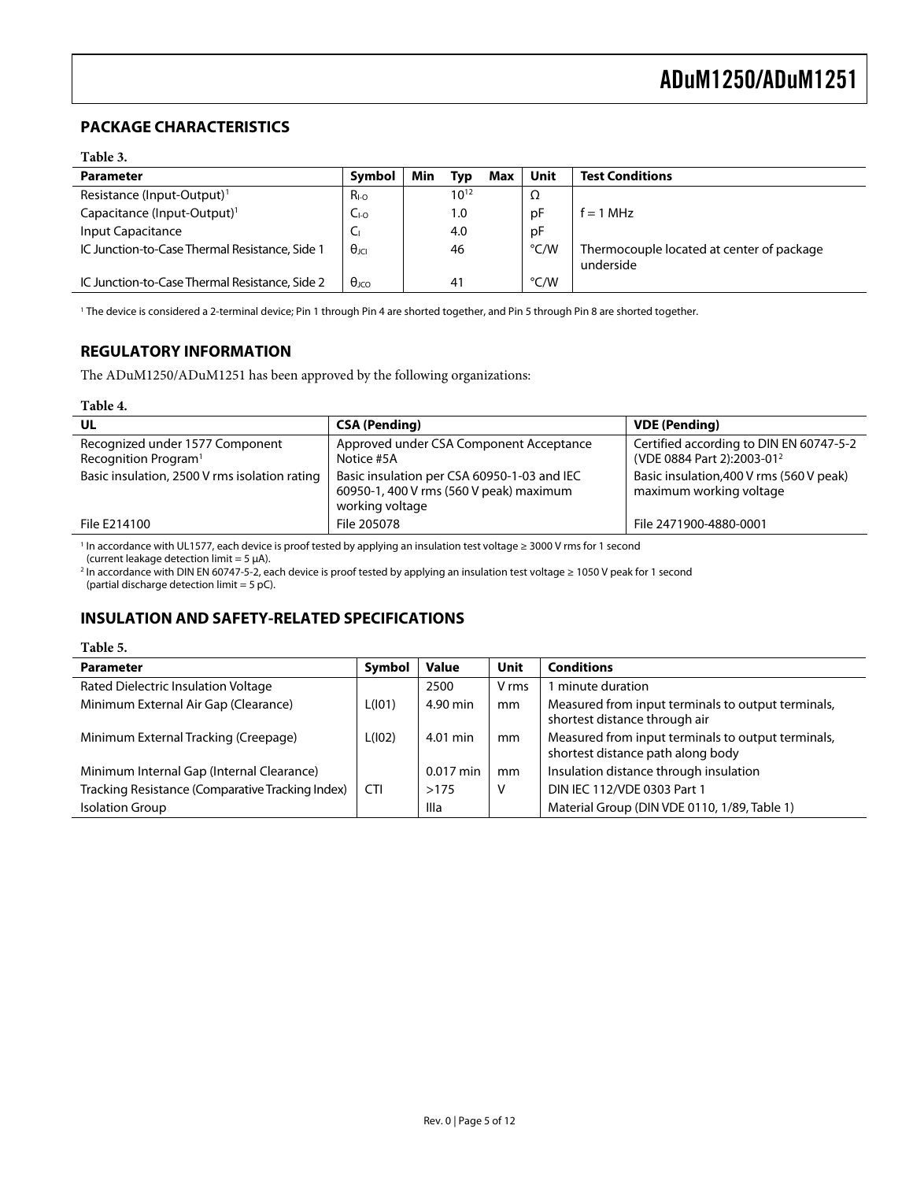### <span id="page-4-0"></span>**PACKAGE CHARACTERISTICS**

#### **Table 3.**

| <b>Parameter</b>                               | Symbol                  | Min | Typ       | Max | Unit | <b>Test Conditions</b>                                 |
|------------------------------------------------|-------------------------|-----|-----------|-----|------|--------------------------------------------------------|
| Resistance (Input-Output) <sup>1</sup>         | $R_{I-O}$               |     | $10^{12}$ |     | Ω    |                                                        |
| Capacitance (Input-Output) <sup>1</sup>        | LI-0                    |     | 1.0       |     | рF   | $f = 1$ MHz                                            |
| Input Capacitance                              | ◡                       |     | 4.0       |     | рF   |                                                        |
| IC Junction-to-Case Thermal Resistance, Side 1 | $\theta_{\rm IC}$       |     | 46        |     | °C/W | Thermocouple located at center of package<br>underside |
| IC Junction-to-Case Thermal Resistance, Side 2 | $\theta$ <sub>ICO</sub> |     | 41        |     | °C/W |                                                        |

1 The device is considered a 2-terminal device; Pin 1 through Pin 4 are shorted together, and Pin 5 through Pin 8 are shorted together.

### **REGULATORY INFORMATION**

The ADuM1250/ADuM1251 has been approved by the following organizations:

#### **Table 4.**

| UL                                                                  | <b>CSA (Pending)</b>                                                                                      | <b>VDE</b> (Pending)                                                              |
|---------------------------------------------------------------------|-----------------------------------------------------------------------------------------------------------|-----------------------------------------------------------------------------------|
| Recognized under 1577 Component<br>Recognition Program <sup>1</sup> | Approved under CSA Component Acceptance<br>Notice #5A                                                     | Certified according to DIN EN 60747-5-2<br>(VDE 0884 Part 2):2003-01 <sup>2</sup> |
| Basic insulation, 2500 V rms isolation rating                       | Basic insulation per CSA 60950-1-03 and IEC<br>60950-1, 400 V rms (560 V peak) maximum<br>working voltage | Basic insulation, 400 V rms (560 V peak)<br>maximum working voltage               |
| File E214100                                                        | File 205078                                                                                               | File 2471900-4880-0001                                                            |

1 In accordance with UL1577, each device is proof tested by applying an insulation test voltage ≥ 3000 V rms for 1 second

(current leakage detection limit = 5 μA). 2 In accordance with DIN EN 60747-5-2, each device is proof tested by applying an insulation test voltage ≥ 1050 V peak for 1 second (partial discharge detection limit  $= 5$  pC).

### **INSULATION AND SAFETY-RELATED SPECIFICATIONS**

#### **Table 5.**

| <b>Parameter</b>                                 | Symbol     | <b>Value</b> | <b>Unit</b> | <b>Conditions</b>                                                                       |
|--------------------------------------------------|------------|--------------|-------------|-----------------------------------------------------------------------------------------|
| Rated Dielectric Insulation Voltage              |            | 2500         | V rms       | minute duration                                                                         |
| Minimum External Air Gap (Clearance)             | L(101)     | 4.90 min     | mm          | Measured from input terminals to output terminals,<br>shortest distance through air     |
| Minimum External Tracking (Creepage)             | L(102)     | 4.01 min     | mm          | Measured from input terminals to output terminals,<br>shortest distance path along body |
| Minimum Internal Gap (Internal Clearance)        |            | $0.017$ min  | mm          | Insulation distance through insulation                                                  |
| Tracking Resistance (Comparative Tracking Index) | <b>CTI</b> | >175         | ٧           | DIN IEC 112/VDE 0303 Part 1                                                             |
| <b>Isolation Group</b>                           |            | Illa         |             | Material Group (DIN VDE 0110, 1/89, Table 1)                                            |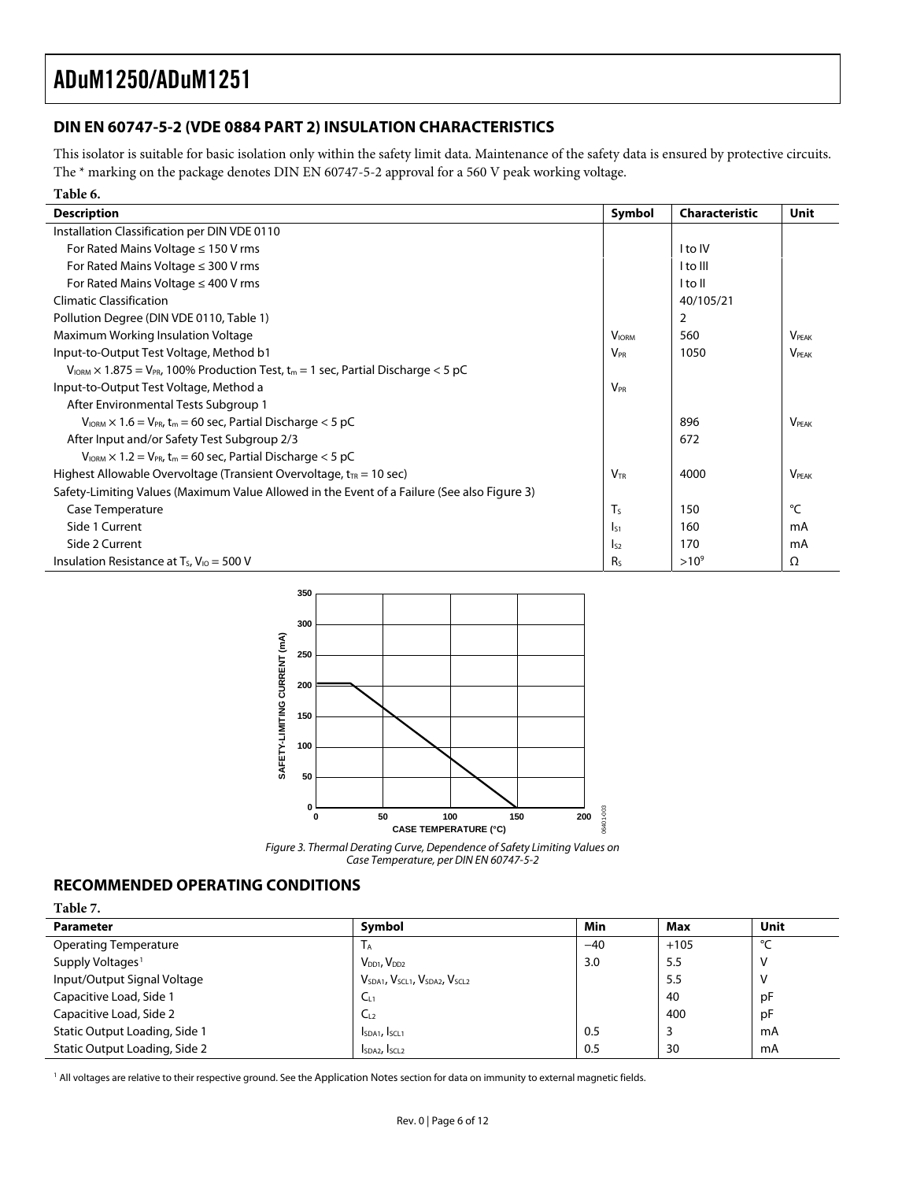### <span id="page-5-1"></span><span id="page-5-0"></span>**DIN EN 60747-5-2 (VDE 0884 PART 2) INSULATION CHARACTERISTICS**

This isolator is suitable for basic isolation only within the safety limit data. Maintenance of the safety data is ensured by protective circuits. The \* marking on the package denotes DIN EN 60747-5-2 approval for a 560 V peak working voltage.

| Table 6.                                                                                                                |                 |                |              |
|-------------------------------------------------------------------------------------------------------------------------|-----------------|----------------|--------------|
| <b>Description</b>                                                                                                      | Symbol          | Characteristic | <b>Unit</b>  |
| Installation Classification per DIN VDE 0110                                                                            |                 |                |              |
| For Rated Mains Voltage $\leq$ 150 V rms                                                                                |                 | I to IV        |              |
| For Rated Mains Voltage $\leq$ 300 V rms                                                                                |                 | I to Ill       |              |
| For Rated Mains Voltage $\leq$ 400 V rms                                                                                |                 | I to II        |              |
| <b>Climatic Classification</b>                                                                                          |                 | 40/105/21      |              |
| Pollution Degree (DIN VDE 0110, Table 1)                                                                                |                 | 2              |              |
| Maximum Working Insulation Voltage                                                                                      | <b>VIORM</b>    | 560            | <b>VPFAK</b> |
| Input-to-Output Test Voltage, Method b1                                                                                 | $V_{PR}$        | 1050           | <b>VPFAK</b> |
| $V_{\text{IORM}} \times 1.875 = V_{\text{PR}}$ , 100% Production Test, t <sub>m</sub> = 1 sec, Partial Discharge < 5 pC |                 |                |              |
| Input-to-Output Test Voltage, Method a                                                                                  | $V_{PR}$        |                |              |
| After Environmental Tests Subgroup 1                                                                                    |                 |                |              |
| $V_{\text{IORM}} \times 1.6 = V_{\text{PR}}$ , t <sub>m</sub> = 60 sec, Partial Discharge < 5 pC                        |                 | 896            | <b>VPFAK</b> |
| After Input and/or Safety Test Subgroup 2/3                                                                             |                 | 672            |              |
| $V_{IORM} \times 1.2 = V_{PR}$ , t <sub>m</sub> = 60 sec, Partial Discharge < 5 pC                                      |                 |                |              |
| Highest Allowable Overvoltage (Transient Overvoltage, $t_{TR}$ = 10 sec)                                                | $V_{\text{tr}}$ | 4000           | <b>VPFAK</b> |
| Safety-Limiting Values (Maximum Value Allowed in the Event of a Failure (See also Figure 3)                             |                 |                |              |
| Case Temperature                                                                                                        | T <sub>S</sub>  | 150            | °C           |
| Side 1 Current                                                                                                          | $I_{51}$        | 160            | mA           |
| Side 2 Current                                                                                                          | $I_{52}$        | 170            | mA           |
| Insulation Resistance at $T_s$ , $V_{10} = 500$ V                                                                       | R <sub>s</sub>  | $>10^{9}$      | Ω            |





### **RECOMMENDED OPERATING CONDITIONS**

**Table 7. 2.** 

| $1$ able $\lambda$ .          |                                                                               |       |        |              |
|-------------------------------|-------------------------------------------------------------------------------|-------|--------|--------------|
| <b>Parameter</b>              | Symbol                                                                        | Min   | Max    | Unit         |
| <b>Operating Temperature</b>  | <b>IA</b>                                                                     | $-40$ | $+105$ | $\circ$<br>╰ |
| Supply Voltages <sup>1</sup>  | $V_{DD1}$ , $V_{DD2}$                                                         | 3.0   | 5.5    |              |
| Input/Output Signal Voltage   | V <sub>SDA1</sub> , V <sub>SCL1</sub> , V <sub>SDA2</sub> , V <sub>SCL2</sub> |       | 5.5    |              |
| Capacitive Load, Side 1       | C <sub>11</sub>                                                               |       | 40     | pF           |
| Capacitive Load, Side 2       | $C_{12}$                                                                      |       | 400    | pF           |
| Static Output Loading, Side 1 | I <sub>SDA1</sub> , I <sub>SCL1</sub>                                         | 0.5   |        | mA           |
| Static Output Loading, Side 2 | I <sub>SDA2</sub> , I <sub>SCL2</sub>                                         | 0.5   | 30     | mA           |

<sup>1</sup> All voltages are relative to their respective ground. See the Application Notes section for data on immunity to external magnetic fields.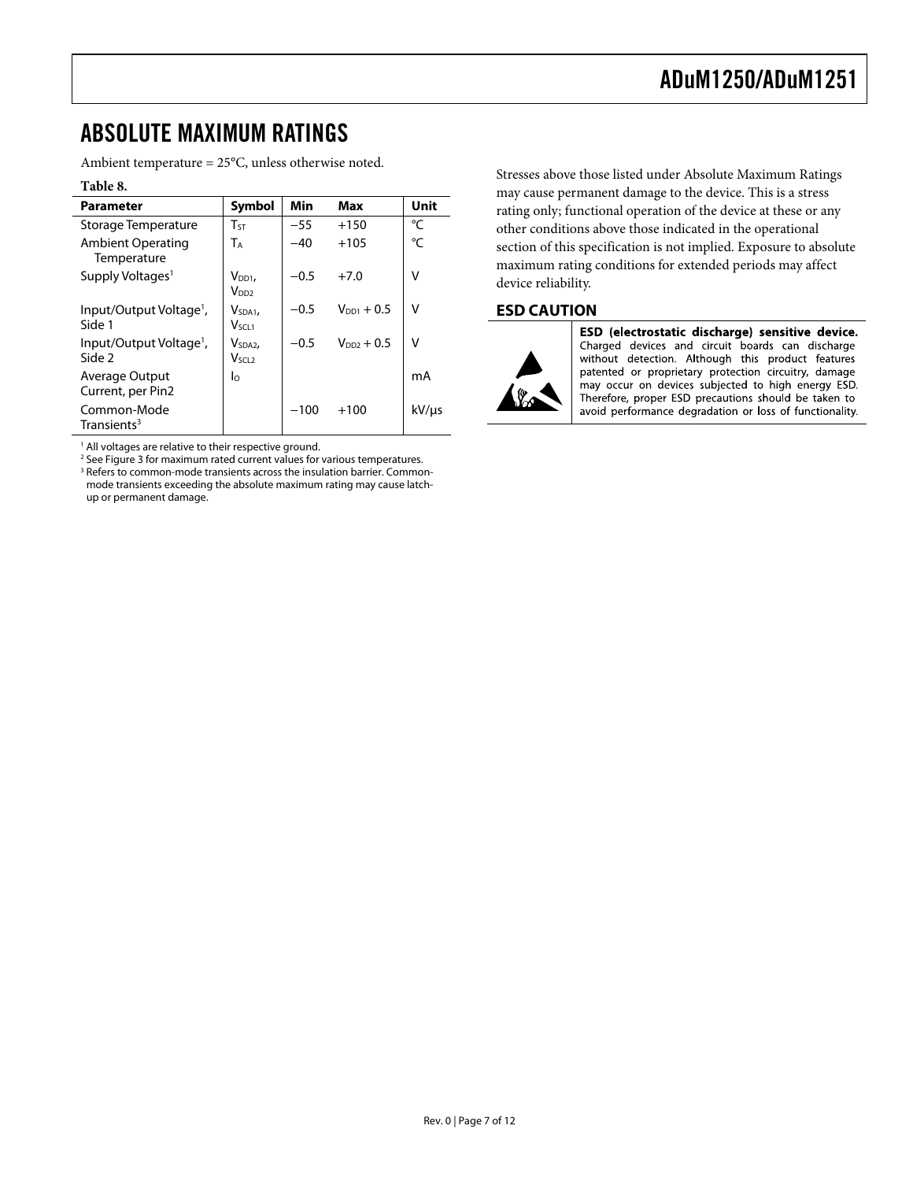### <span id="page-6-1"></span><span id="page-6-0"></span>ABSOLUTE MAXIMUM RATINGS

Ambient temperature = 25°C, unless otherwise noted.

#### **Table 8.**

| <b>Parameter</b>                              | <b>Symbol</b>                          | Min    | Max             | Unit  |
|-----------------------------------------------|----------------------------------------|--------|-----------------|-------|
| Storage Temperature                           | $T_{ST}$                               | $-55$  | $+150$          | °C    |
| Ambient Operating<br>Temperature              | T <sub>A</sub>                         | $-40$  | $+105$          | °C    |
| Supply Voltages <sup>1</sup>                  | $V_{DD1}$<br>V <sub>DD2</sub>          | $-0.5$ | $+7.0$          | v     |
| Input/Output Voltage <sup>1</sup> ,<br>Side 1 | V <sub>SDA1</sub><br>V <sub>SCL1</sub> | $-0.5$ | $V_{DD1} + 0.5$ | v     |
| Input/Output Voltage <sup>1</sup> ,<br>Side 2 | V <sub>SDA2</sub><br>Vsci 2            | $-0.5$ | $V_{DD2}$ + 0.5 | v     |
| Average Output<br>Current, per Pin2           | $\log$                                 |        |                 | mA    |
| Common-Mode<br>Transients <sup>3</sup>        |                                        | $-100$ | $+100$          | kV/µs |

<sup>1</sup> All voltages are relative to their respective ground.

<sup>2</sup> See [Figure 3](#page-5-1) for maximum rated current values for various temperatures.<br><sup>3</sup> Befers to common-mode transients across the insulation barrier. Commo: <sup>3</sup> Refers to common-mode transients across the insulation barrier. Commonmode transients exceeding the absolute maximum rating may cause latchup or permanent damage.

Stresses above those listed under Absolute Maximum Ratings may cause permanent damage to the device. This is a stress rating only; functional operation of the device at these or any other conditions above those indicated in the operational section of this specification is not implied. Exposure to absolute maximum rating conditions for extended periods may affect device reliability.

### **ESD CAUTION**



ESD (electrostatic discharge) sensitive device. Charged devices and circuit boards can discharge without detection. Although this product features patented or proprietary protection circuitry, damage may occur on devices subjected to high energy ESD. Therefore, proper ESD precautions should be taken to avoid performance degradation or loss of functionality.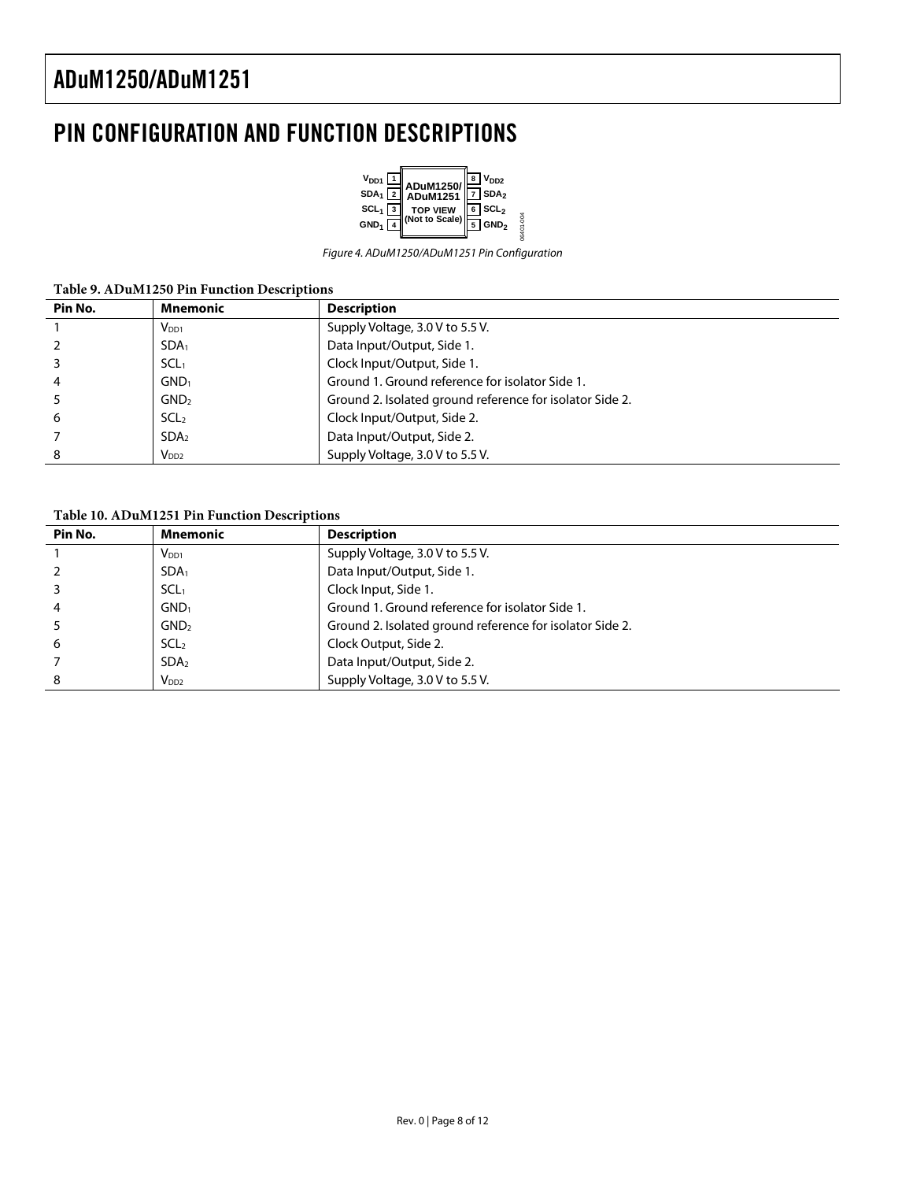### <span id="page-7-0"></span>PIN CONFIGURATION AND FUNCTION DESCRIPTIONS



Figure 4. ADuM1250/ADuM1251 Pin Configuration

| Table 9. ADuM1250 Pin Function Descriptions |  |
|---------------------------------------------|--|
|---------------------------------------------|--|

| Pin No. | Mnemonic         | <b>Description</b>                                       |
|---------|------------------|----------------------------------------------------------|
|         | $V_{DD1}$        | Supply Voltage, 3.0 V to 5.5 V.                          |
|         | SDA <sub>1</sub> | Data Input/Output, Side 1.                               |
|         | SCL <sub>1</sub> | Clock Input/Output, Side 1.                              |
|         | GND <sub>1</sub> | Ground 1. Ground reference for isolator Side 1.          |
|         | GND <sub>2</sub> | Ground 2. Isolated ground reference for isolator Side 2. |
| 6       | SCL <sub>2</sub> | Clock Input/Output, Side 2.                              |
|         | SDA <sub>2</sub> | Data Input/Output, Side 2.                               |
| 8       | V <sub>DD2</sub> | Supply Voltage, 3.0 V to 5.5 V.                          |

**Table 10. ADuM1251 Pin Function Descriptions** 

| Pin No. | <b>Mnemonic</b>  | <b>Description</b>                                       |
|---------|------------------|----------------------------------------------------------|
|         | $V_{DD1}$        | Supply Voltage, 3.0 V to 5.5 V.                          |
|         | SDA <sub>1</sub> | Data Input/Output, Side 1.                               |
|         | SCL <sub>1</sub> | Clock Input, Side 1.                                     |
| 4       | GND <sub>1</sub> | Ground 1. Ground reference for isolator Side 1.          |
|         | GND <sub>2</sub> | Ground 2. Isolated ground reference for isolator Side 2. |
| 6       | SCL <sub>2</sub> | Clock Output, Side 2.                                    |
|         | SDA <sub>2</sub> | Data Input/Output, Side 2.                               |
| 8       | $V_{DD2}$        | Supply Voltage, 3.0 V to 5.5 V.                          |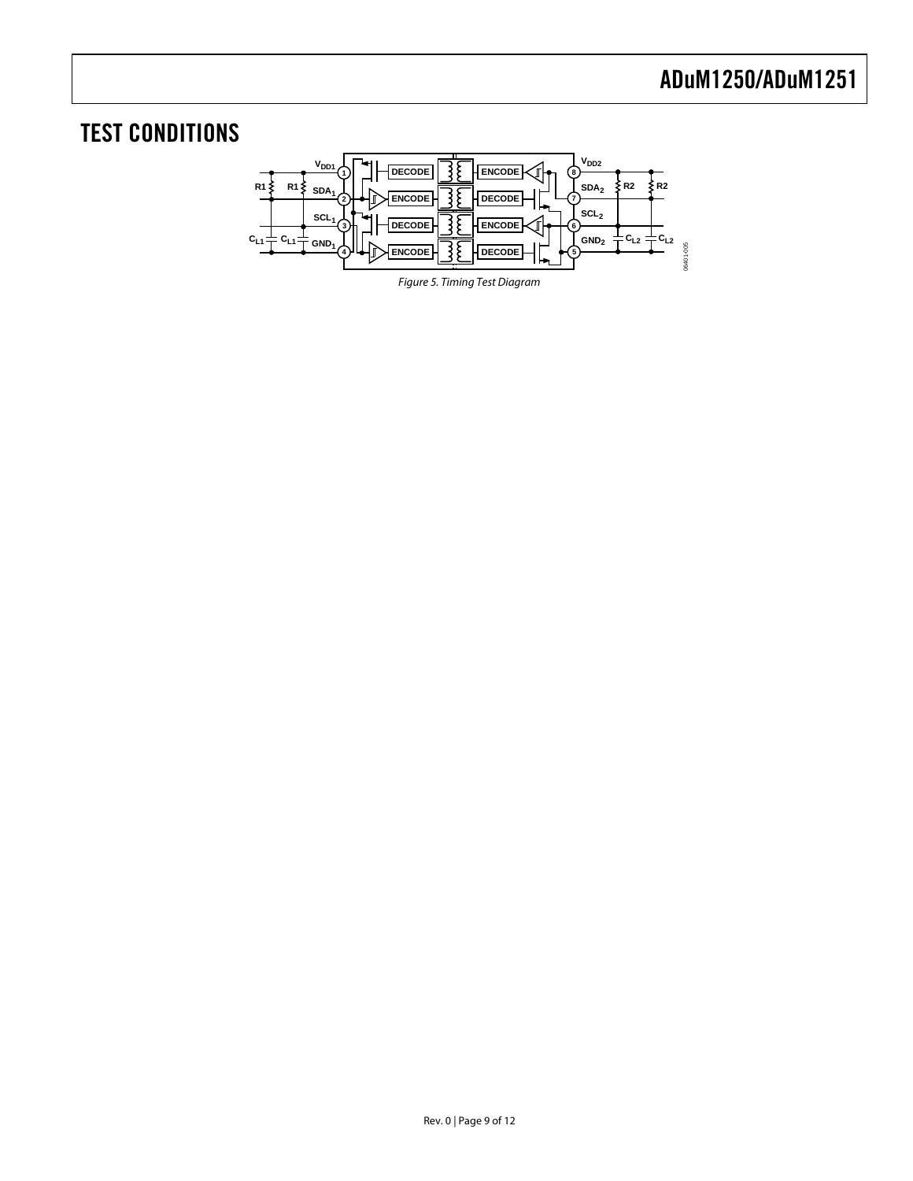# <span id="page-8-1"></span><span id="page-8-0"></span>TEST CONDITIONS



Figure 5. Timing Test Diagram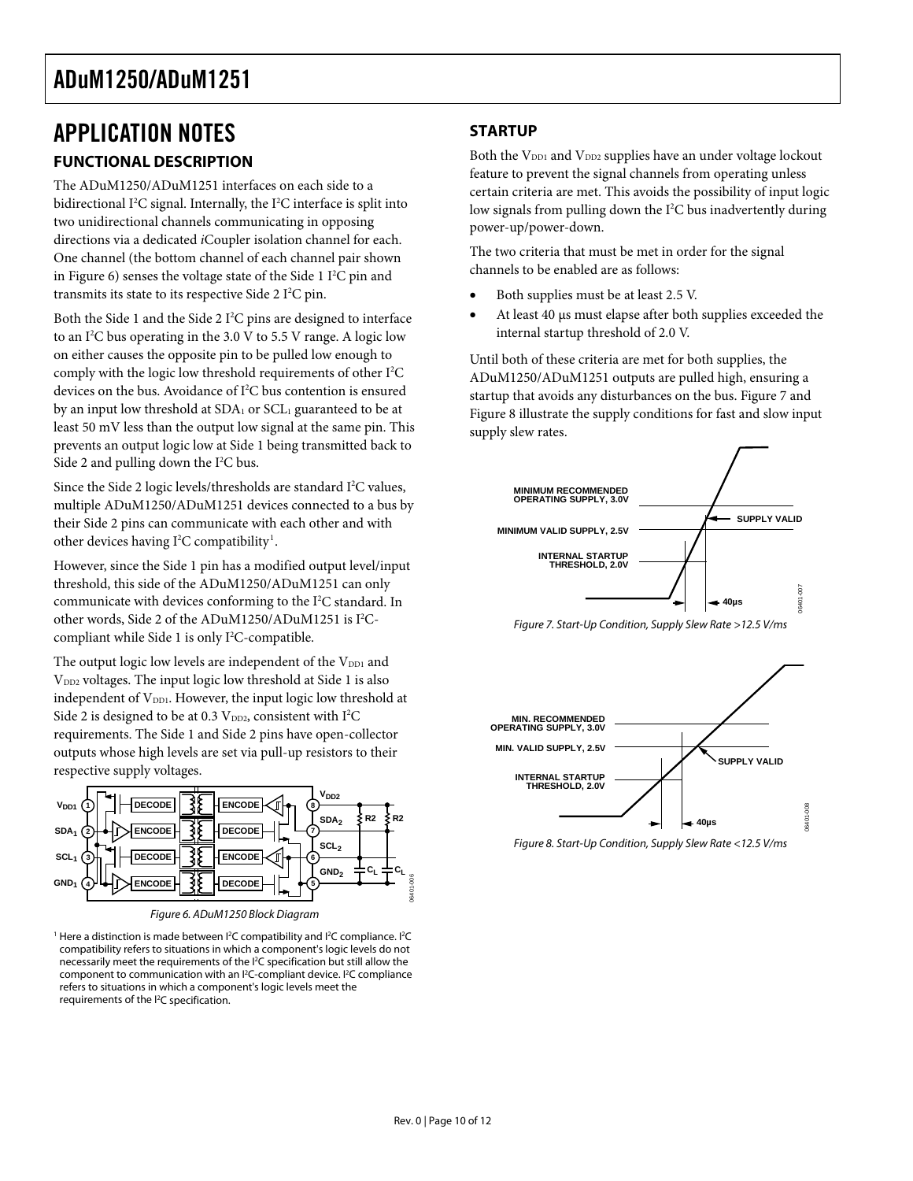### <span id="page-9-0"></span>APPLICATION NOTES **FUNCTIONAL DESCRIPTION**

The ADuM1250/ADuM1251 interfaces on each side to a bidirectional I<sup>2</sup>C signal. Internally, the I<sup>2</sup>C interface is split into two unidirectional channels communicating in opposing directions via a dedicated *i*Coupler isolation channel for each. One channel (the bottom channel of each channel pair shown in Figure 6) senses the voltage state of the Side  $11^2C$  pin and transmits its state to its respective Side  $2 \mathrm{I}^2\mathrm{C}$  pin.

Both the Side 1 and the Side 2  $I^2C$  pins are designed to interface to an I<sup>2</sup>C bus operating in the 3.0 V to 5.5 V range. A logic low on either causes the opposite pin to be pulled low enough to comply with the logic low threshold requirements of other I<sup>2</sup>C devices on the bus. Avoidance of I<sup>2</sup>C bus contention is ensured by an input low threshold at  $SDA<sub>1</sub>$  or  $SCL<sub>1</sub>$  guaranteed to be at least 50 mV less than the output low signal at the same pin. This prevents an output logic low at Side 1 being transmitted back to Side 2 and pulling down the  $I^2C$  bus.

Since the Side 2 logic levels/thresholds are standard  $I<sup>2</sup>C$  values, multiple ADuM1250/ADuM1251 devices connected to a bus by their Side 2 pins can communicate with each other and with other devices having  $I^2C$  compatibility<sup>1</sup>.

However, since the Side 1 pin has a modified output level/input threshold, this side of the ADuM1250/ADuM1251 can only communicate with devices conforming to the I<sup>2</sup>C standard. In other words, Side 2 of the ADuM1250/ADuM1251 is I<sup>2</sup>Ccompliant while Side 1 is only I<sup>2</sup>C-compatible.

The output logic low levels are independent of the V<sub>DD1</sub> and V<sub>DD2</sub> voltages. The input logic low threshold at Side 1 is also independent of V<sub>DD1</sub>. However, the input logic low threshold at Side 2 is designed to be at 0.3  $V_{DD2}$ , consistent with  $I^2C$ requirements. The Side 1 and Side 2 pins have open-collector outputs whose high levels are set via pull-up resistors to their respective supply voltages.



Figure 6. ADuM1250 Block Diagram

<sup>1</sup> Here a distinction is made between  $P^2C$  compatibility and  $P^2C$  compliance.  $P^2C$ compatibility refers to situations in which a component's logic levels do not necessarily meet the requirements of the <sup>12</sup>C specification but still allow the component to communication with an <sup>12</sup>C-compliant device. <sup>12</sup>C compliance refers to situations in which a component's logic levels meet the requirements of the <sup>12</sup>C specification.

### **STARTUP**

Both the V<sub>DD1</sub> and V<sub>DD2</sub> supplies have an under voltage lockout feature to prevent the signal channels from operating unless certain criteria are met. This avoids the possibility of input logic low signals from pulling down the I<sup>2</sup>C bus inadvertently during power-up/power-down.

The two criteria that must be met in order for the signal channels to be enabled are as follows:

- Both supplies must be at least 2.5 V.
- At least 40 μs must elapse after both supplies exceeded the internal startup threshold of 2.0 V.

Until both of these criteria are met for both supplies, the ADuM1250/ADuM1251 outputs are pulled high, ensuring a startup that avoids any disturbances on the bus. Figure 7 and Figure 8 illustrate the supply conditions for fast and slow input supply slew rates.



Figure 7. Start-Up Condition, Supply Slew Rate >12.5 V/ms



Figure 8. Start-Up Condition, Supply Slew Rate <12.5 V/ms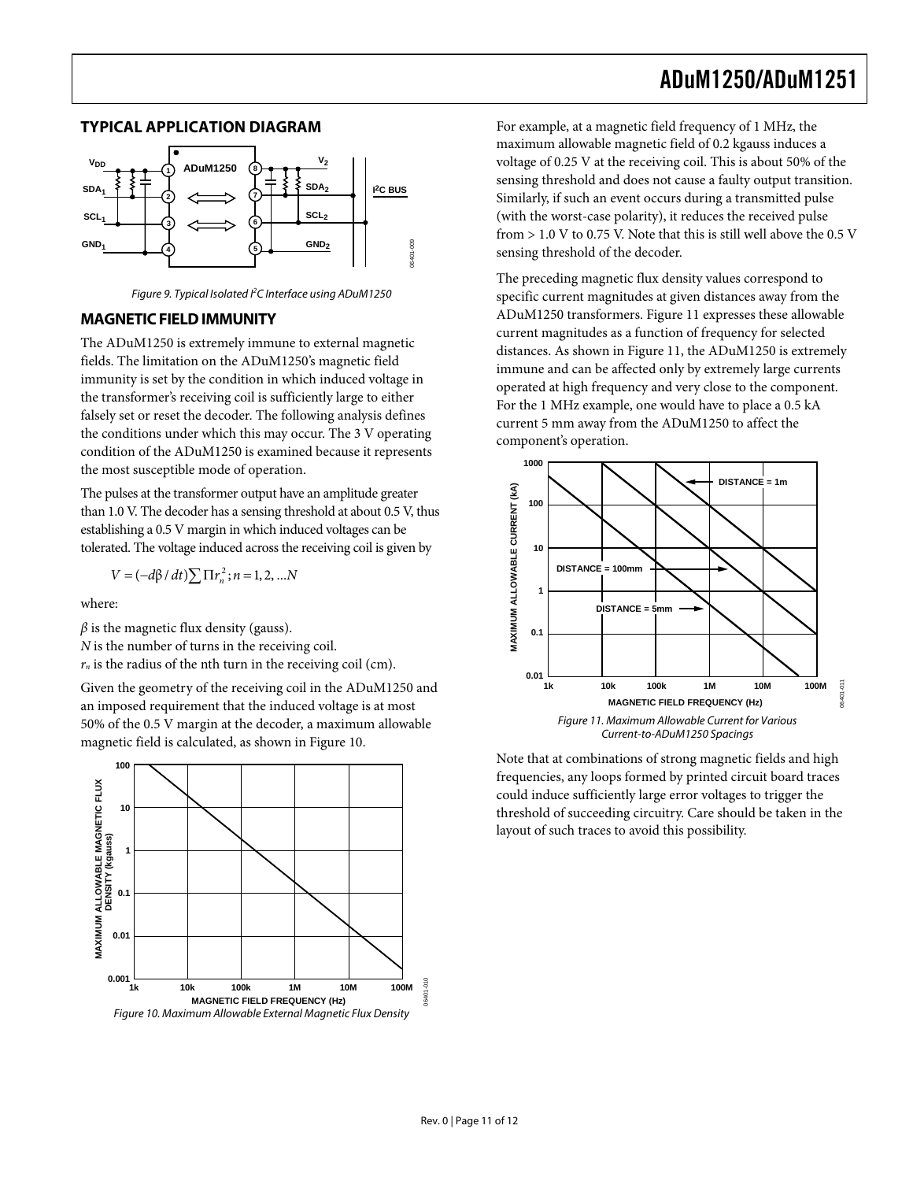#### <span id="page-10-1"></span><span id="page-10-0"></span>**TYPICAL APPLICATION DIAGRAM**



Figure 9. Typical Isolated I<sup>2</sup>C Interface using ADuM1250

#### **MAGNETIC FIELD IMMUNITY**

The ADuM1250 is extremely immune to external magnetic fields. The limitation on the ADuM1250's magnetic field immunity is set by the condition in which induced voltage in the transformer's receiving coil is sufficiently large to either falsely set or reset the decoder. The following analysis defines the conditions under which this may occur. The 3 V operating condition of the ADuM1250 is examined because it represents the most susceptible mode of operation.

The pulses at the transformer output have an amplitude greater than 1.0 V. The decoder has a sensing threshold at about 0.5 V, thus establishing a 0.5 V margin in which induced voltages can be tolerated. The voltage induced across the receiving coil is given by

$$
V = (-d\beta / dt) \sum \Pi r_n^2; n = 1, 2, ... N
$$

where:

 $\beta$  is the magnetic flux density (gauss).

*N* is the number of turns in the receiving coil.

 $r_n$  is the radius of the nth turn in the receiving coil (cm).

Given the geometry of the receiving coil in the ADuM1250 and an imposed requirement that the induced voltage is at most 50% of the 0.5 V margin at the decoder, a maximum allowable magnetic field is calculated, as shown in Figure 10.



For example, at a magnetic field frequency of 1 MHz, the maximum allowable magnetic field of 0.2 kgauss induces a voltage of 0.25 V at the receiving coil. This is about 50% of the sensing threshold and does not cause a faulty output transition. Similarly, if such an event occurs during a transmitted pulse (with the worst-case polarity), it reduces the received pulse from > 1.0 V to 0.75 V. Note that this is still well above the 0.5 V sensing threshold of the decoder.

The preceding magnetic flux density values correspond to specific current magnitudes at given distances away from the ADuM1250 transformers. Figure 11 expresses these allowable current magnitudes as a function of frequency for selected distances. As shown in Figure 11, the ADuM1250 is extremely immune and can be affected only by extremely large currents operated at high frequency and very close to the component. For the 1 MHz example, one would have to place a 0.5 kA current 5 mm away from the ADuM1250 to affect the component's operation.



Note that at combinations of strong magnetic fields and high frequencies, any loops formed by printed circuit board traces could induce sufficiently large error voltages to trigger the threshold of succeeding circuitry. Care should be taken in the layout of such traces to avoid this possibility.